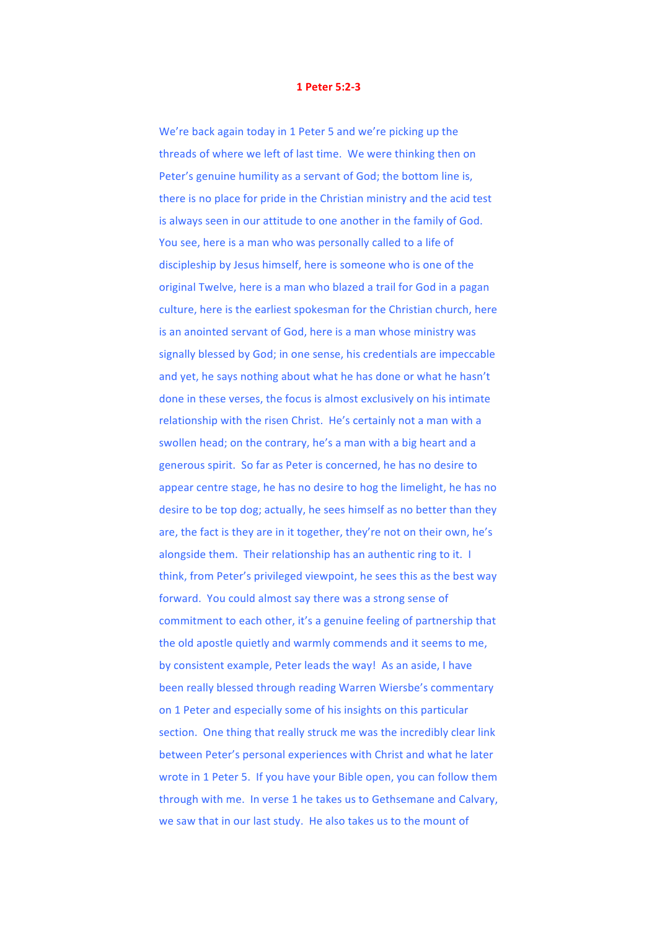## **1 Peter 5:2-3**

We're back again today in 1 Peter 5 and we're picking up the threads of where we left of last time. We were thinking then on Peter's genuine humility as a servant of God; the bottom line is, there is no place for pride in the Christian ministry and the acid test is always seen in our attitude to one another in the family of God. You see, here is a man who was personally called to a life of discipleship by Jesus himself, here is someone who is one of the original Twelve, here is a man who blazed a trail for God in a pagan culture, here is the earliest spokesman for the Christian church, here is an anointed servant of God, here is a man whose ministry was signally blessed by God; in one sense, his credentials are impeccable and yet, he says nothing about what he has done or what he hasn't done in these verses, the focus is almost exclusively on his intimate relationship with the risen Christ. He's certainly not a man with a swollen head; on the contrary, he's a man with a big heart and a generous spirit. So far as Peter is concerned, he has no desire to appear centre stage, he has no desire to hog the limelight, he has no desire to be top dog; actually, he sees himself as no better than they are, the fact is they are in it together, they're not on their own, he's alongside them. Their relationship has an authentic ring to it. I think, from Peter's privileged viewpoint, he sees this as the best way forward. You could almost say there was a strong sense of commitment to each other, it's a genuine feeling of partnership that the old apostle quietly and warmly commends and it seems to me, by consistent example, Peter leads the way! As an aside, I have been really blessed through reading Warren Wiersbe's commentary on 1 Peter and especially some of his insights on this particular section. One thing that really struck me was the incredibly clear link between Peter's personal experiences with Christ and what he later wrote in 1 Peter 5. If you have your Bible open, you can follow them through with me. In verse 1 he takes us to Gethsemane and Calvary, we saw that in our last study. He also takes us to the mount of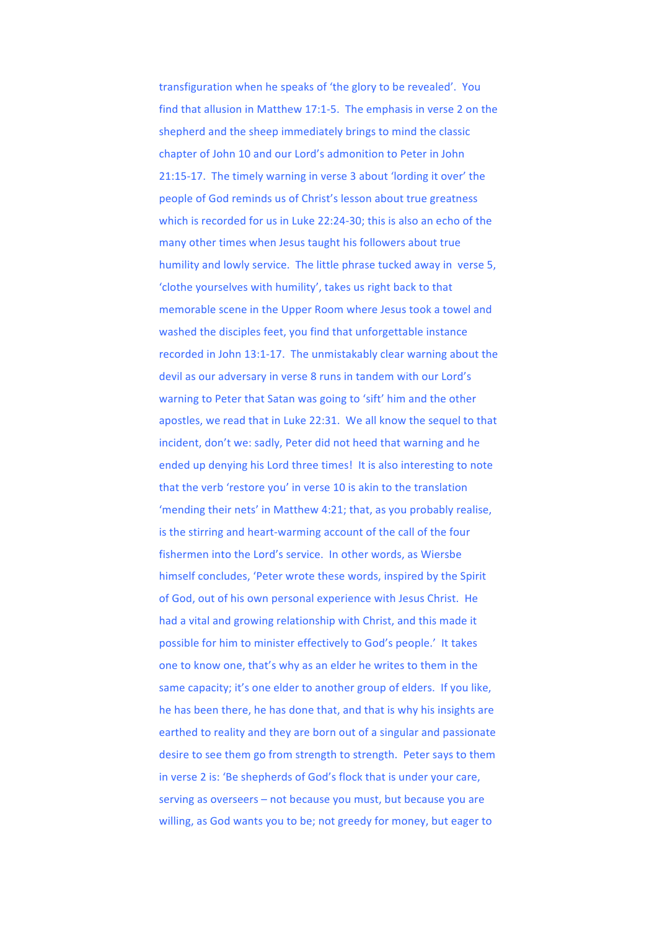transfiguration when he speaks of 'the glory to be revealed'. You find that allusion in Matthew 17:1-5. The emphasis in verse 2 on the shepherd and the sheep immediately brings to mind the classic chapter of John 10 and our Lord's admonition to Peter in John 21:15-17. The timely warning in verse 3 about 'lording it over' the people of God reminds us of Christ's lesson about true greatness which is recorded for us in Luke 22:24-30; this is also an echo of the many other times when Jesus taught his followers about true humility and lowly service. The little phrase tucked away in verse 5, 'clothe vourselves with humility', takes us right back to that memorable scene in the Upper Room where Jesus took a towel and washed the disciples feet, you find that unforgettable instance recorded in John 13:1-17. The unmistakably clear warning about the devil as our adversary in verse 8 runs in tandem with our Lord's warning to Peter that Satan was going to 'sift' him and the other apostles, we read that in Luke 22:31. We all know the sequel to that incident, don't we: sadly, Peter did not heed that warning and he ended up denying his Lord three times! It is also interesting to note that the verb 'restore you' in verse 10 is akin to the translation 'mending their nets' in Matthew 4:21; that, as you probably realise, is the stirring and heart-warming account of the call of the four fishermen into the Lord's service. In other words, as Wiersbe himself concludes, 'Peter wrote these words, inspired by the Spirit of God, out of his own personal experience with Jesus Christ. He had a vital and growing relationship with Christ, and this made it possible for him to minister effectively to God's people.' It takes one to know one, that's why as an elder he writes to them in the same capacity; it's one elder to another group of elders. If you like, he has been there, he has done that, and that is why his insights are earthed to reality and they are born out of a singular and passionate desire to see them go from strength to strength. Peter says to them in verse 2 is: 'Be shepherds of God's flock that is under your care, serving as overseers  $-$  not because you must, but because you are willing, as God wants you to be; not greedy for money, but eager to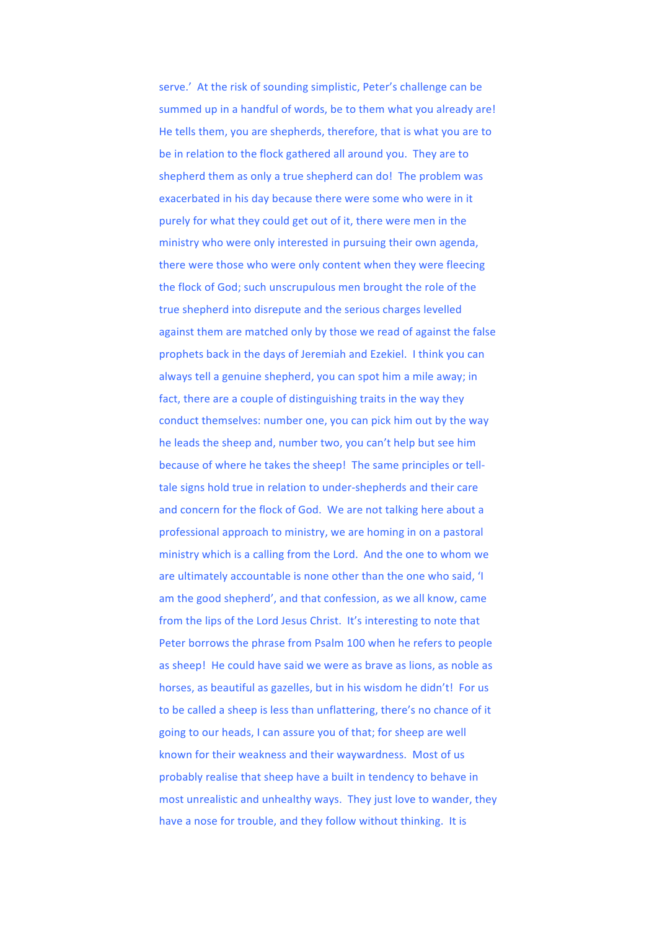serve.' At the risk of sounding simplistic, Peter's challenge can be summed up in a handful of words, be to them what you already are! He tells them, you are shepherds, therefore, that is what you are to be in relation to the flock gathered all around you. They are to shepherd them as only a true shepherd can do! The problem was exacerbated in his day because there were some who were in it purely for what they could get out of it, there were men in the ministry who were only interested in pursuing their own agenda, there were those who were only content when they were fleecing the flock of God; such unscrupulous men brought the role of the true shepherd into disrepute and the serious charges levelled against them are matched only by those we read of against the false prophets back in the days of Jeremiah and Ezekiel. I think you can always tell a genuine shepherd, you can spot him a mile away; in fact, there are a couple of distinguishing traits in the way they conduct themselves: number one, you can pick him out by the way he leads the sheep and, number two, you can't help but see him because of where he takes the sheep! The same principles or telltale signs hold true in relation to under-shepherds and their care and concern for the flock of God. We are not talking here about a professional approach to ministry, we are homing in on a pastoral ministry which is a calling from the Lord. And the one to whom we are ultimately accountable is none other than the one who said, 'I am the good shepherd', and that confession, as we all know, came from the lips of the Lord Jesus Christ. It's interesting to note that Peter borrows the phrase from Psalm 100 when he refers to people as sheep! He could have said we were as brave as lions, as noble as horses, as beautiful as gazelles, but in his wisdom he didn't! For us to be called a sheep is less than unflattering, there's no chance of it going to our heads, I can assure you of that: for sheep are well known for their weakness and their waywardness. Most of us probably realise that sheep have a built in tendency to behave in most unrealistic and unhealthy ways. They just love to wander, they have a nose for trouble, and they follow without thinking. It is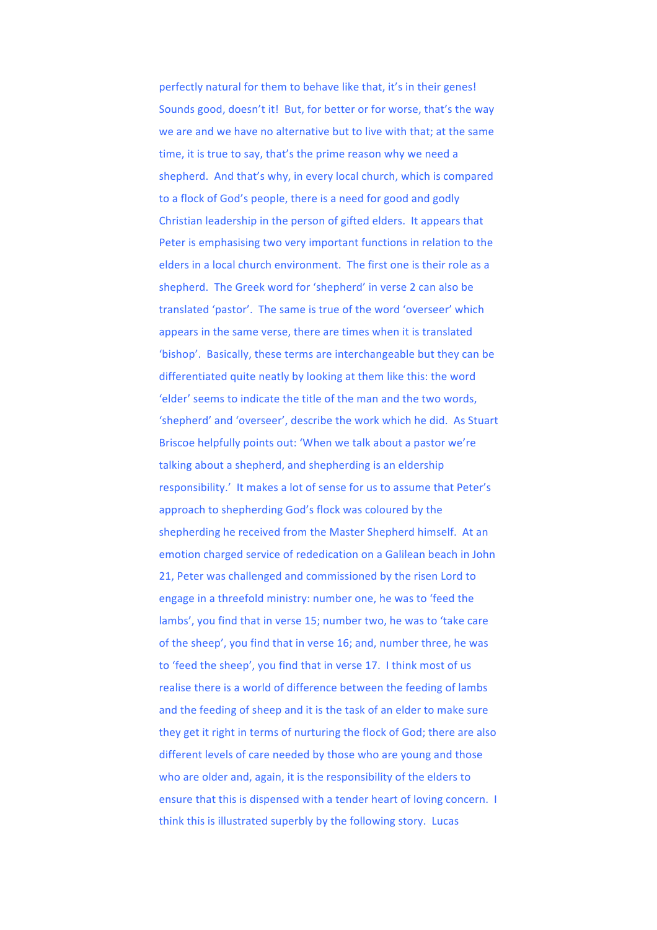perfectly natural for them to behave like that, it's in their genes! Sounds good, doesn't it! But, for better or for worse, that's the way we are and we have no alternative but to live with that; at the same time, it is true to say, that's the prime reason why we need a shepherd. And that's why, in every local church, which is compared to a flock of God's people, there is a need for good and godly Christian leadership in the person of gifted elders. It appears that Peter is emphasising two very important functions in relation to the elders in a local church environment. The first one is their role as a shepherd. The Greek word for 'shepherd' in verse 2 can also be translated 'pastor'. The same is true of the word 'overseer' which appears in the same verse, there are times when it is translated 'bishop'. Basically, these terms are interchangeable but they can be differentiated quite neatly by looking at them like this: the word 'elder' seems to indicate the title of the man and the two words, 'shepherd' and 'overseer', describe the work which he did. As Stuart Briscoe helpfully points out: 'When we talk about a pastor we're talking about a shepherd, and shepherding is an eldership responsibility.' It makes a lot of sense for us to assume that Peter's approach to shepherding God's flock was coloured by the shepherding he received from the Master Shepherd himself. At an emotion charged service of rededication on a Galilean beach in John 21, Peter was challenged and commissioned by the risen Lord to engage in a threefold ministry: number one, he was to 'feed the lambs', you find that in verse 15; number two, he was to 'take care of the sheep', you find that in verse 16; and, number three, he was to 'feed the sheep', you find that in verse 17. I think most of us realise there is a world of difference between the feeding of lambs and the feeding of sheep and it is the task of an elder to make sure they get it right in terms of nurturing the flock of God; there are also different levels of care needed by those who are young and those who are older and, again, it is the responsibility of the elders to ensure that this is dispensed with a tender heart of loving concern. I think this is illustrated superbly by the following story. Lucas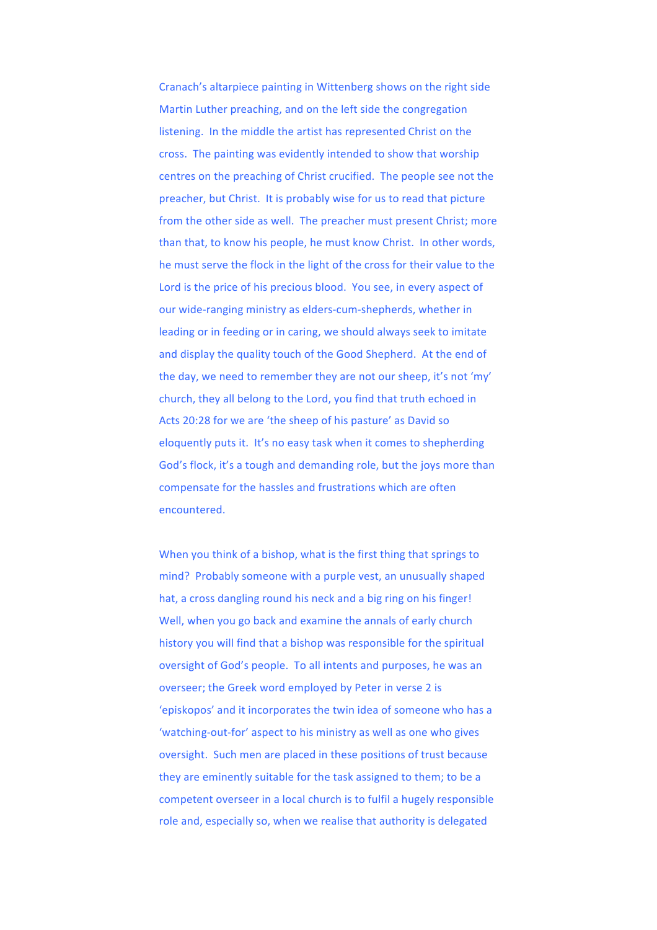Cranach's altarpiece painting in Wittenberg shows on the right side Martin Luther preaching, and on the left side the congregation listening. In the middle the artist has represented Christ on the cross. The painting was evidently intended to show that worship centres on the preaching of Christ crucified. The people see not the preacher, but Christ. It is probably wise for us to read that picture from the other side as well. The preacher must present Christ; more than that, to know his people, he must know Christ. In other words, he must serve the flock in the light of the cross for their value to the Lord is the price of his precious blood. You see, in every aspect of our wide-ranging ministry as elders-cum-shepherds, whether in leading or in feeding or in caring, we should always seek to imitate and display the quality touch of the Good Shepherd. At the end of the day, we need to remember they are not our sheep, it's not 'my' church, they all belong to the Lord, you find that truth echoed in Acts 20:28 for we are 'the sheep of his pasture' as David so eloquently puts it. It's no easy task when it comes to shepherding God's flock, it's a tough and demanding role, but the joys more than compensate for the hassles and frustrations which are often encountered. 

When you think of a bishop, what is the first thing that springs to mind? Probably someone with a purple vest, an unusually shaped hat, a cross dangling round his neck and a big ring on his finger! Well, when you go back and examine the annals of early church history you will find that a bishop was responsible for the spiritual oversight of God's people. To all intents and purposes, he was an overseer; the Greek word employed by Peter in verse 2 is 'episkopos' and it incorporates the twin idea of someone who has a 'watching-out-for' aspect to his ministry as well as one who gives oversight. Such men are placed in these positions of trust because they are eminently suitable for the task assigned to them; to be a competent overseer in a local church is to fulfil a hugely responsible role and, especially so, when we realise that authority is delegated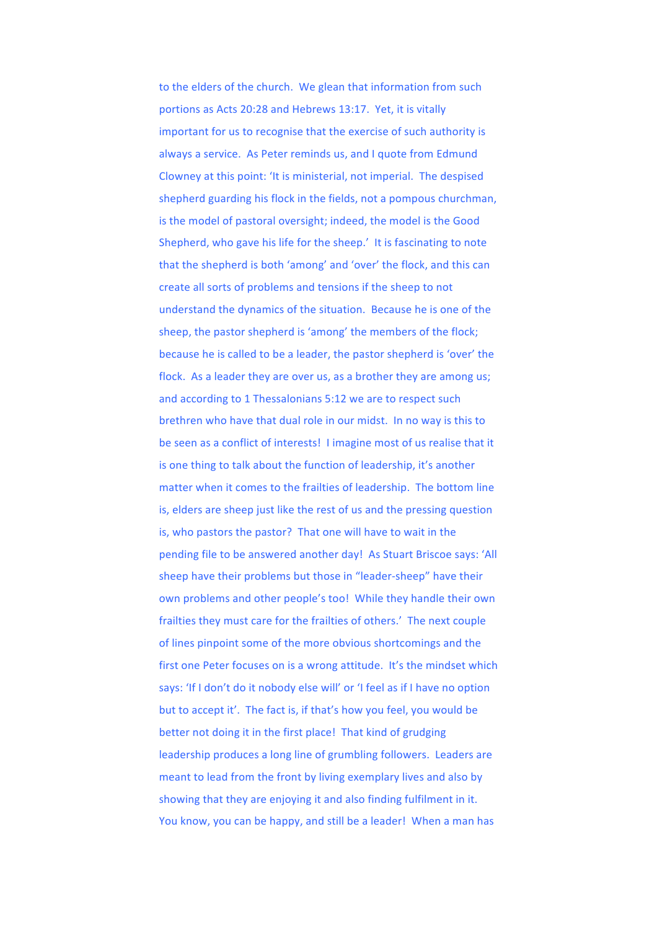to the elders of the church. We glean that information from such portions as Acts 20:28 and Hebrews 13:17. Yet, it is vitally important for us to recognise that the exercise of such authority is always a service. As Peter reminds us, and I quote from Edmund Clowney at this point: 'It is ministerial, not imperial. The despised shepherd guarding his flock in the fields, not a pompous churchman, is the model of pastoral oversight; indeed, the model is the Good Shepherd, who gave his life for the sheep.' It is fascinating to note that the shepherd is both 'among' and 'over' the flock, and this can create all sorts of problems and tensions if the sheep to not understand the dynamics of the situation. Because he is one of the sheep, the pastor shepherd is 'among' the members of the flock; because he is called to be a leader, the pastor shepherd is 'over' the flock. As a leader they are over us, as a brother they are among us; and according to 1 Thessalonians 5:12 we are to respect such brethren who have that dual role in our midst. In no way is this to be seen as a conflict of interests! I imagine most of us realise that it is one thing to talk about the function of leadership, it's another matter when it comes to the frailties of leadership. The bottom line is, elders are sheep just like the rest of us and the pressing question is, who pastors the pastor? That one will have to wait in the pending file to be answered another day! As Stuart Briscoe says: 'All sheep have their problems but those in "leader-sheep" have their own problems and other people's too! While they handle their own frailties they must care for the frailties of others.' The next couple of lines pinpoint some of the more obvious shortcomings and the first one Peter focuses on is a wrong attitude. It's the mindset which says: 'If I don't do it nobody else will' or 'I feel as if I have no option but to accept it'. The fact is, if that's how you feel, you would be better not doing it in the first place! That kind of grudging leadership produces a long line of grumbling followers. Leaders are meant to lead from the front by living exemplary lives and also by showing that they are enjoying it and also finding fulfilment in it. You know, you can be happy, and still be a leader! When a man has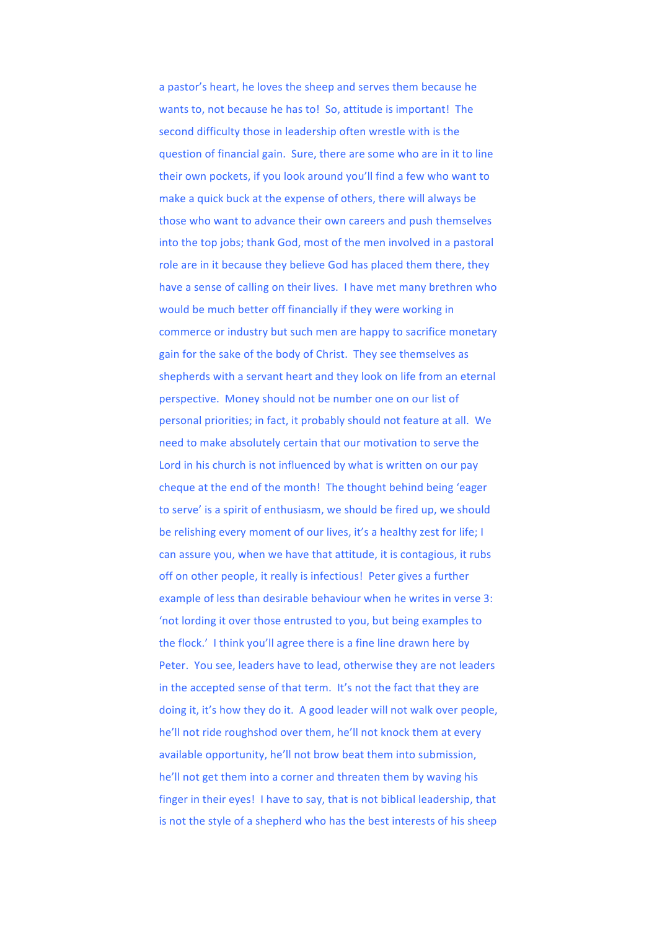a pastor's heart, he loves the sheep and serves them because he wants to, not because he has to! So, attitude is important! The second difficulty those in leadership often wrestle with is the question of financial gain. Sure, there are some who are in it to line their own pockets, if you look around you'll find a few who want to make a quick buck at the expense of others, there will always be those who want to advance their own careers and push themselves into the top jobs; thank God, most of the men involved in a pastoral role are in it because they believe God has placed them there, they have a sense of calling on their lives. I have met many brethren who would be much better off financially if they were working in commerce or industry but such men are happy to sacrifice monetary gain for the sake of the body of Christ. They see themselves as shepherds with a servant heart and they look on life from an eternal perspective. Money should not be number one on our list of personal priorities; in fact, it probably should not feature at all. We need to make absolutely certain that our motivation to serve the Lord in his church is not influenced by what is written on our pay cheque at the end of the month! The thought behind being 'eager to serve' is a spirit of enthusiasm, we should be fired up, we should be relishing every moment of our lives, it's a healthy zest for life; I can assure you, when we have that attitude, it is contagious, it rubs off on other people, it really is infectious! Peter gives a further example of less than desirable behaviour when he writes in verse 3: 'not lording it over those entrusted to you, but being examples to the flock.' I think you'll agree there is a fine line drawn here by Peter. You see, leaders have to lead, otherwise they are not leaders in the accepted sense of that term. It's not the fact that they are doing it, it's how they do it. A good leader will not walk over people, he'll not ride roughshod over them, he'll not knock them at every available opportunity, he'll not brow beat them into submission, he'll not get them into a corner and threaten them by waving his finger in their eyes! I have to say, that is not biblical leadership, that is not the style of a shepherd who has the best interests of his sheep